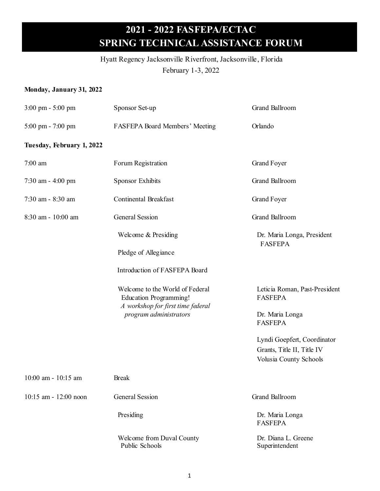#### Hyatt Regency Jacksonville Riverfront, Jacksonville, Florida

February 1-3, 2022

#### **Monday, January 31, 2022**

| $3:00 \text{ pm} - 5:00 \text{ pm}$ | Sponsor Set-up                                                   | Grand Ballroom                                  |
|-------------------------------------|------------------------------------------------------------------|-------------------------------------------------|
| $5:00 \text{ pm} - 7:00 \text{ pm}$ | FASFEPA Board Members' Meeting                                   | Orlando                                         |
| Tuesday, February 1, 2022           |                                                                  |                                                 |
| 7:00 am                             | Forum Registration                                               | <b>Grand Foyer</b>                              |
| 7:30 am - 4:00 pm                   | <b>Sponsor Exhibits</b>                                          | Grand Ballroom                                  |
| 7:30 am - 8:30 am                   | Continental Breakfast                                            | <b>Grand Foyer</b>                              |
| 8:30 am - 10:00 am                  | <b>General Session</b>                                           | Grand Ballroom                                  |
|                                     | Welcome & Presiding                                              | Dr. Maria Longa, President<br><b>FASFEPA</b>    |
|                                     | Pledge of Allegiance                                             |                                                 |
|                                     | Introduction of FASFEPA Board                                    |                                                 |
|                                     | Welcome to the World of Federal<br><b>Education Programming!</b> | Leticia Roman, Past-President<br><b>FASFEPA</b> |
|                                     | A workshop for first time federal<br>program administrators      | Dr. Maria Longa                                 |
|                                     |                                                                  | <b>FASFEPA</b>                                  |
|                                     |                                                                  | Lyndi Goepfert, Coordinator                     |
|                                     |                                                                  | Grants, Title II, Title IV                      |
|                                     |                                                                  | Volusia County Schools                          |
| 10:00 am - 10:15 am                 | <b>Break</b>                                                     |                                                 |
| 10:15 am - 12:00 noon               | <b>General Session</b>                                           | Grand Ballroom                                  |
|                                     | Presiding                                                        | Dr. Maria Longa<br><b>FASFEPA</b>               |
|                                     | Welcome from Duval County<br>Public Schools                      | Dr. Diana L. Greene<br>Superintendent           |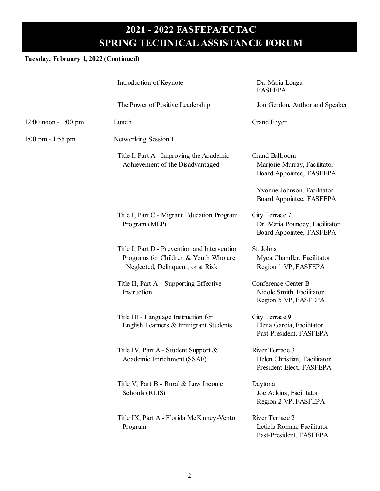#### **Tuesday, February 1, 2022 (Continued)**

|                                     | Introduction of Keynote                                                                                                     | Dr. Maria Longa<br><b>FASFEPA</b>                                            |
|-------------------------------------|-----------------------------------------------------------------------------------------------------------------------------|------------------------------------------------------------------------------|
|                                     | The Power of Positive Leadership                                                                                            | Jon Gordon, Author and Speaker                                               |
| $12:00$ noon - 1:00 pm              | Lunch                                                                                                                       | <b>Grand Foyer</b>                                                           |
| $1:00 \text{ pm} - 1:55 \text{ pm}$ | Networking Session 1                                                                                                        |                                                                              |
|                                     | Title I, Part A - Improving the Academic<br>Achievement of the Disadvantaged                                                | Grand Ballroom<br>Marjorie Murray, Facilitator<br>Board Appointee, FASFEPA   |
|                                     |                                                                                                                             | Yvonne Johnson, Facilitator<br>Board Appointee, FASFEPA                      |
|                                     | Title I, Part C - Migrant Education Program<br>Program (MEP)                                                                | City Terrace 7<br>Dr. Maria Pouncey, Facilitator<br>Board Appointee, FASFEPA |
|                                     | Title I, Part D - Prevention and Intervention<br>Programs for Children & Youth Who are<br>Neglected, Delinquent, or at Risk | St. Johns<br>Myca Chandler, Facilitator<br>Region 1 VP, FASFEPA              |
|                                     | Title II, Part A - Supporting Effective<br>Instruction                                                                      | Conference Center B<br>Nicole Smith, Facilitator<br>Region 5 VP, FASFEPA     |
|                                     | Title III - Language Instruction for<br>English Learners & Immigrant Students                                               | City Terrace 9<br>Elena Garcia, Facilitator<br>Past-President, FASFEPA       |
|                                     | Title IV, Part A - Student Support &<br>Academic Enrichment (SSAE)                                                          | River Terrace 3<br>Helen Christian, Facilitator<br>President-Elect, FASFEPA  |
|                                     | Title V, Part B - Rural & Low Income<br>Schools (RLIS)                                                                      | Daytona<br>Joe Adkins, Facilitator<br>Region 2 VP, FASFEPA                   |
|                                     | Title IX, Part A - Florida McKinney-Vento<br>Program                                                                        | River Terrace 2<br>Leticia Roman, Facilitator<br>Past-President, FASFEPA     |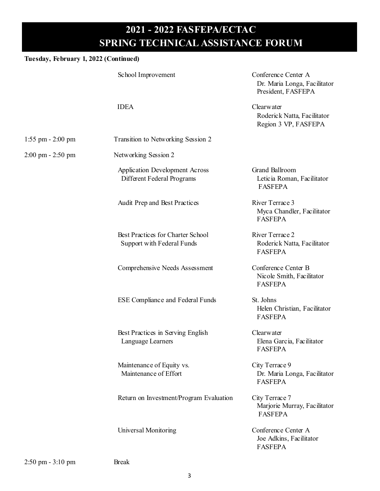#### **Tuesday, February 1, 2022 (Continued)**

|                       | School Improvement                                                  | Conference Center A<br>Dr. Maria Longa, Facilitator<br>President, FASFEPA |
|-----------------------|---------------------------------------------------------------------|---------------------------------------------------------------------------|
|                       | <b>IDEA</b>                                                         | Clearwater<br>Roderick Natta, Facilitator<br>Region 3 VP, FASFEPA         |
| $1:55$ pm $- 2:00$ pm | Transition to Networking Session 2                                  |                                                                           |
| 2:00 pm - 2:50 pm     | Networking Session 2                                                |                                                                           |
|                       | <b>Application Development Across</b><br>Different Federal Programs | Grand Ballroom<br>Leticia Roman, Facilitator<br><b>FASFEPA</b>            |
|                       | Audit Prep and Best Practices                                       | River Terrace 3<br>Myca Chandler, Facilitator<br><b>FASFEPA</b>           |
|                       | Best Practices for Charter School<br>Support with Federal Funds     | River Terrace 2<br>Roderick Natta, Facilitator<br><b>FASFEPA</b>          |
|                       | Comprehensive Needs Assessment                                      | Conference Center B<br>Nicole Smith, Facilitator<br><b>FASFEPA</b>        |
|                       | <b>ESE Compliance and Federal Funds</b>                             | St. Johns<br>Helen Christian, Facilitator<br><b>FASFEPA</b>               |
|                       | Best Practices in Serving English<br>Language Learners              | Clearwater<br>Elena Garcia, Facilitator<br><b>FASFEPA</b>                 |
|                       | Maintenance of Equity vs.<br>Maintenance of Effort                  | City Terrace 9<br>Dr. Maria Longa, Facilitator<br><b>FASFEPA</b>          |
|                       | Return on Investment/Program Evaluation                             | City Terrace 7<br>Marjorie Murray, Facilitator<br><b>FASFEPA</b>          |
|                       | Universal Monitoring                                                | Conference Center A<br>Joe Adkins, Facilitator<br><b>FASFEPA</b>          |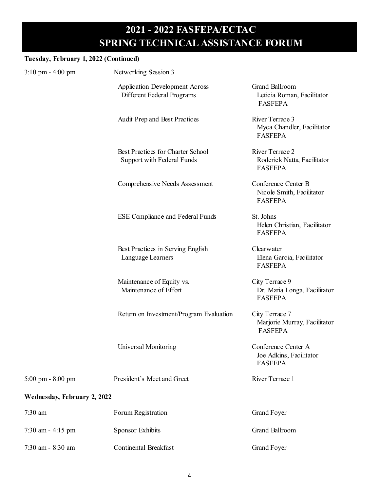#### **Tuesday, February 1, 2022 (Continued)**

| racsuay, repruary 1, 2022 (Continueu) |                                                                     |                                                                    |
|---------------------------------------|---------------------------------------------------------------------|--------------------------------------------------------------------|
| $3:10 \text{ pm} - 4:00 \text{ pm}$   | Networking Session 3                                                |                                                                    |
|                                       | <b>Application Development Across</b><br>Different Federal Programs | Grand Ballroom<br>Leticia Roman, Facilitator<br><b>FASFEPA</b>     |
|                                       | Audit Prep and Best Practices                                       | River Terrace 3<br>Myca Chandler, Facilitator<br><b>FASFEPA</b>    |
|                                       | Best Practices for Charter School<br>Support with Federal Funds     | River Terrace 2<br>Roderick Natta, Facilitator<br><b>FASFEPA</b>   |
|                                       | Comprehensive Needs Assessment                                      | Conference Center B<br>Nicole Smith, Facilitator<br><b>FASFEPA</b> |
|                                       | <b>ESE Compliance and Federal Funds</b>                             | St. Johns<br>Helen Christian, Facilitator<br><b>FASFEPA</b>        |
|                                       | Best Practices in Serving English<br>Language Learners              | Clearwater<br>Elena Garcia, Facilitator<br><b>FASFEPA</b>          |
|                                       | Maintenance of Equity vs.<br>Maintenance of Effort                  | City Terrace 9<br>Dr. Maria Longa, Facilitator<br><b>FASFEPA</b>   |
|                                       | Return on Investment/Program Evaluation                             | City Terrace 7<br>Marjorie Murray, Facilitator<br><b>FASFEPA</b>   |
|                                       | Universal Monitoring                                                | Conference Center A<br>Joe Adkins, Facilitator<br><b>FASFEPA</b>   |
| $5:00 \text{ pm} - 8:00 \text{ pm}$   | President's Meet and Greet                                          | River Terrace 1                                                    |
| Wednesday, February 2, 2022           |                                                                     |                                                                    |
| 7:30 am                               | Forum Registration                                                  | <b>Grand Foyer</b>                                                 |
| 7:30 am - 4:15 pm                     | Sponsor Exhibits                                                    | Grand Ballroom                                                     |
| 7:30 am - 8:30 am                     | <b>Continental Breakfast</b>                                        | <b>Grand Foyer</b>                                                 |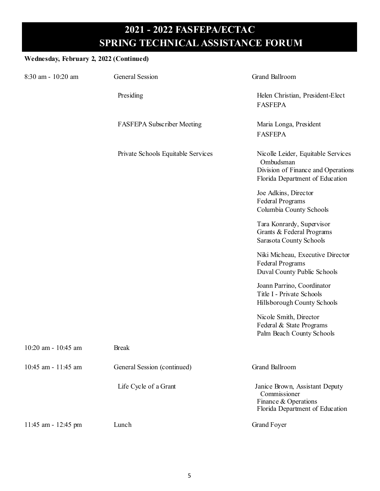#### **Wednesday, February 2, 2022 (Continued)**

| 8:30 am - 10:20 am  | <b>General Session</b>             | <b>Grand Ballroom</b>                                                                                                    |
|---------------------|------------------------------------|--------------------------------------------------------------------------------------------------------------------------|
|                     | Presiding                          | Helen Christian, President-Elect<br><b>FASFEPA</b>                                                                       |
|                     | <b>FASFEPA Subscriber Meeting</b>  | Maria Longa, President<br><b>FASFEPA</b>                                                                                 |
|                     | Private Schools Equitable Services | Nicolle Leider, Equitable Services<br>Ombudsman<br>Division of Finance and Operations<br>Florida Department of Education |
|                     |                                    | Joe Adkins, Director<br><b>Federal Programs</b><br>Columbia County Schools                                               |
|                     |                                    | Tara Konrardy, Supervisor<br>Grants & Federal Programs<br>Sarasota County Schools                                        |
|                     |                                    | Niki Micheau, Executive Director<br><b>Federal Programs</b><br>Duval County Public Schools                               |
|                     |                                    | Joann Parrino, Coordinator<br>Title I - Private Schools<br>Hillsborough County Schools                                   |
|                     |                                    | Nicole Smith, Director<br>Federal & State Programs<br>Palm Beach County Schools                                          |
| 10:20 am - 10:45 am | <b>Break</b>                       |                                                                                                                          |
| 10:45 am - 11:45 am | General Session (continued)        | Grand Ballroom                                                                                                           |
|                     | Life Cycle of a Grant              | Janice Brown, Assistant Deputy<br>Commissioner<br>Finance & Operations<br>Florida Department of Education                |
| 11:45 am - 12:45 pm | Lunch                              | <b>Grand Foyer</b>                                                                                                       |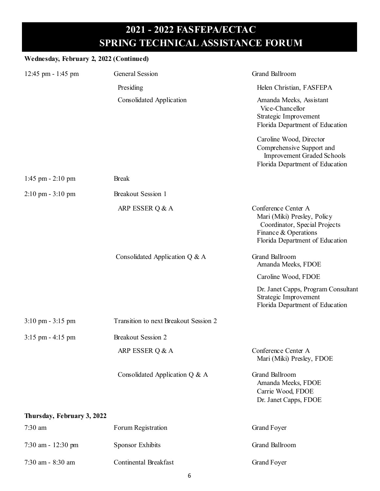| Wednesday, February 2, 2022 (Continued) |                                       |                                                                                                                                                |
|-----------------------------------------|---------------------------------------|------------------------------------------------------------------------------------------------------------------------------------------------|
| 12:45 pm - 1:45 pm                      | General Session                       | Grand Ballroom                                                                                                                                 |
|                                         | Presiding                             | Helen Christian, FASFEPA                                                                                                                       |
|                                         | Consolidated Application              | Amanda Meeks, Assistant<br>Vice-Chancellor<br>Strategic Improvement<br>Florida Department of Education                                         |
|                                         |                                       | Caroline Wood, Director<br>Comprehensive Support and<br><b>Improvement Graded Schools</b><br>Florida Department of Education                   |
| $1:45$ pm $- 2:10$ pm                   | <b>Break</b>                          |                                                                                                                                                |
| $2:10 \text{ pm} - 3:10 \text{ pm}$     | Breakout Session 1                    |                                                                                                                                                |
|                                         | ARP ESSER Q & A                       | Conference Center A<br>Mari (Miki) Presley, Policy<br>Coordinator, Special Projects<br>Finance & Operations<br>Florida Department of Education |
|                                         | Consolidated Application Q & A        | Grand Ballroom<br>Amanda Meeks, FDOE                                                                                                           |
|                                         |                                       | Caroline Wood, FDOE                                                                                                                            |
|                                         |                                       | Dr. Janet Capps, Program Consultant<br>Strategic Improvement<br>Florida Department of Education                                                |
| $3:10 \text{ pm} - 3:15 \text{ pm}$     | Transition to next Breakout Session 2 |                                                                                                                                                |
| $3:15$ pm $-4:15$ pm                    | <b>Breakout Session 2</b>             |                                                                                                                                                |
|                                         | ARP ESSER Q & A                       | Conference Center A<br>Mari (Miki) Presley, FDOE                                                                                               |
|                                         | Consolidated Application Q & A        | Grand Ballroom<br>Amanda Meeks, FDOE<br>Carrie Wood, FDOE<br>Dr. Janet Capps, FDOE                                                             |
| Thursday, February 3, 2022              |                                       |                                                                                                                                                |
| 7:30 am                                 | Forum Registration                    | <b>Grand Foyer</b>                                                                                                                             |
| 7:30 am - 12:30 pm                      | <b>Sponsor Exhibits</b>               | Grand Ballroom                                                                                                                                 |
| 7:30 am - 8:30 am                       | <b>Continental Breakfast</b>          | <b>Grand Foyer</b>                                                                                                                             |